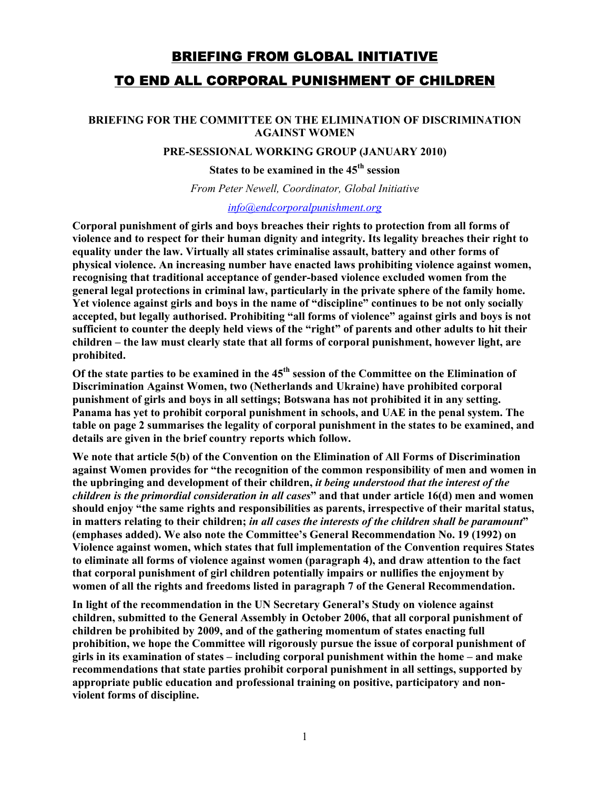# BRIEFING FROM GLOBAL INITIATIVE TO END ALL CORPORAL PUNISHMENT OF CHILDREN

## **BRIEFING FOR THE COMMITTEE ON THE ELIMINATION OF DISCRIMINATION AGAINST WOMEN**

### **PRE-SESSIONAL WORKING GROUP (JANUARY 2010)**

# **States to be examined in the 45th session**

## *From Peter Newell, Coordinator, Global Initiative*

#### *info@endcorporalpunishment.org*

**Corporal punishment of girls and boys breaches their rights to protection from all forms of violence and to respect for their human dignity and integrity. Its legality breaches their right to equality under the law. Virtually all states criminalise assault, battery and other forms of physical violence. An increasing number have enacted laws prohibiting violence against women, recognising that traditional acceptance of gender-based violence excluded women from the general legal protections in criminal law, particularly in the private sphere of the family home. Yet violence against girls and boys in the name of "discipline" continues to be not only socially accepted, but legally authorised. Prohibiting "all forms of violence" against girls and boys is not sufficient to counter the deeply held views of the "right" of parents and other adults to hit their children – the law must clearly state that all forms of corporal punishment, however light, are prohibited.** 

**Of the state parties to be examined in the 45th session of the Committee on the Elimination of Discrimination Against Women, two (Netherlands and Ukraine) have prohibited corporal punishment of girls and boys in all settings; Botswana has not prohibited it in any setting. Panama has yet to prohibit corporal punishment in schools, and UAE in the penal system. The table on page 2 summarises the legality of corporal punishment in the states to be examined, and details are given in the brief country reports which follow.** 

**We note that article 5(b) of the Convention on the Elimination of All Forms of Discrimination against Women provides for "the recognition of the common responsibility of men and women in the upbringing and development of their children,** *it being understood that the interest of the children is the primordial consideration in all cases***" and that under article 16(d) men and women should enjoy "the same rights and responsibilities as parents, irrespective of their marital status, in matters relating to their children;** *in all cases the interests of the children shall be paramount***" (emphases added). We also note the Committee's General Recommendation No. 19 (1992) on Violence against women, which states that full implementation of the Convention requires States to eliminate all forms of violence against women (paragraph 4), and draw attention to the fact that corporal punishment of girl children potentially impairs or nullifies the enjoyment by women of all the rights and freedoms listed in paragraph 7 of the General Recommendation.** 

**In light of the recommendation in the UN Secretary General's Study on violence against children, submitted to the General Assembly in October 2006, that all corporal punishment of children be prohibited by 2009, and of the gathering momentum of states enacting full prohibition, we hope the Committee will rigorously pursue the issue of corporal punishment of girls in its examination of states – including corporal punishment within the home – and make recommendations that state parties prohibit corporal punishment in all settings, supported by appropriate public education and professional training on positive, participatory and nonviolent forms of discipline.**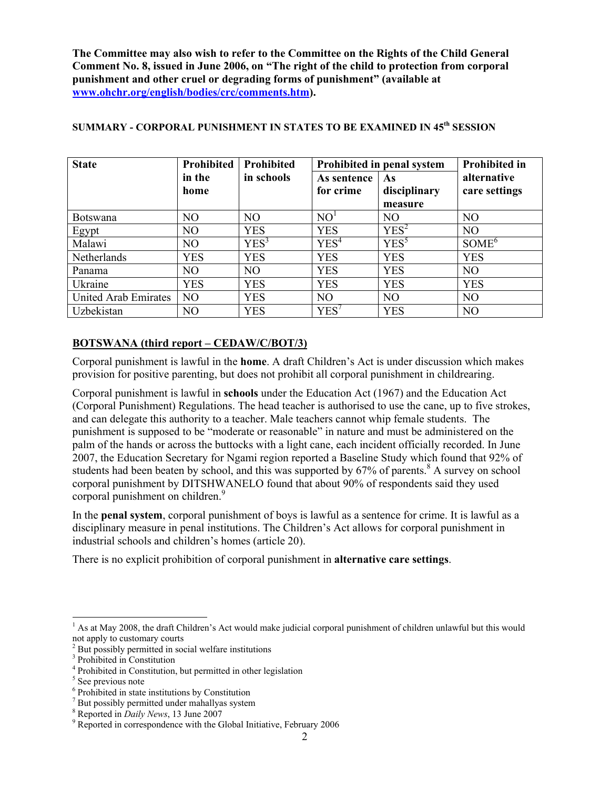**The Committee may also wish to refer to the Committee on the Rights of the Child General Comment No. 8, issued in June 2006, on "The right of the child to protection from corporal punishment and other cruel or degrading forms of punishment" (available at www.ohchr.org/english/bodies/crc/comments.htm).** 

| <b>State</b>         | Prohibited     | <b>Prohibited</b> | Prohibited in penal system |                  | <b>Prohibited in</b> |
|----------------------|----------------|-------------------|----------------------------|------------------|----------------------|
|                      | in the         | in schools        | As sentence                | As               | alternative          |
|                      | home           |                   | for crime                  | disciplinary     | care settings        |
|                      |                |                   |                            | measure          |                      |
| <b>Botswana</b>      | N <sub>O</sub> | N <sub>O</sub>    | NO <sup>1</sup>            | N <sub>O</sub>   | N <sub>O</sub>       |
| Egypt                | N <sub>O</sub> | <b>YES</b>        | <b>YES</b>                 | YES <sup>2</sup> | N <sub>O</sub>       |
| Malawi               | N <sub>O</sub> | YES <sup>3</sup>  | YES <sup>4</sup>           | YES <sup>5</sup> | SOME <sup>6</sup>    |
| Netherlands          | <b>YES</b>     | <b>YES</b>        | <b>YES</b>                 | <b>YES</b>       | <b>YES</b>           |
| Panama               | N <sub>O</sub> | NO                | <b>YES</b>                 | <b>YES</b>       | N <sub>O</sub>       |
| Ukraine              | <b>YES</b>     | <b>YES</b>        | <b>YES</b>                 | <b>YES</b>       | <b>YES</b>           |
| United Arab Emirates | NO             | <b>YES</b>        | N <sub>O</sub>             | N <sub>O</sub>   | N <sub>O</sub>       |
| Uzbekistan           | NO             | <b>YES</b>        | YES'                       | <b>YES</b>       | N <sub>O</sub>       |

## **SUMMARY - CORPORAL PUNISHMENT IN STATES TO BE EXAMINED IN 45th SESSION**

## **BOTSWANA (third report – CEDAW/C/BOT/3)**

Corporal punishment is lawful in the **home**. A draft Children's Act is under discussion which makes provision for positive parenting, but does not prohibit all corporal punishment in childrearing.

Corporal punishment is lawful in **schools** under the Education Act (1967) and the Education Act (Corporal Punishment) Regulations. The head teacher is authorised to use the cane, up to five strokes, and can delegate this authority to a teacher. Male teachers cannot whip female students. The punishment is supposed to be "moderate or reasonable" in nature and must be administered on the palm of the hands or across the buttocks with a light cane, each incident officially recorded. In June 2007, the Education Secretary for Ngami region reported a Baseline Study which found that 92% of students had been beaten by school, and this was supported by  $67\%$  of parents.<sup>8</sup> A survey on school corporal punishment by DITSHWANELO found that about 90% of respondents said they used corporal punishment on children.<sup>9</sup>

In the **penal system**, corporal punishment of boys is lawful as a sentence for crime. It is lawful as a disciplinary measure in penal institutions. The Children's Act allows for corporal punishment in industrial schools and children's homes (article 20).

There is no explicit prohibition of corporal punishment in **alternative care settings**.

 $\overline{a}$ 

<sup>&</sup>lt;sup>1</sup> As at May 2008, the draft Children's Act would make judicial corporal punishment of children unlawful but this would not apply to customary courts

<sup>&</sup>lt;sup>2</sup> But possibly permitted in social welfare institutions

<sup>3</sup> Prohibited in Constitution

<sup>4</sup> Prohibited in Constitution, but permitted in other legislation

<sup>&</sup>lt;sup>5</sup> See previous note

<sup>6</sup> Prohibited in state institutions by Constitution

<sup>7</sup> But possibly permitted under mahallyas system

 $^8$  Reported in *Daily News*, 13 June 2007

Reported in correspondence with the Global Initiative, February 2006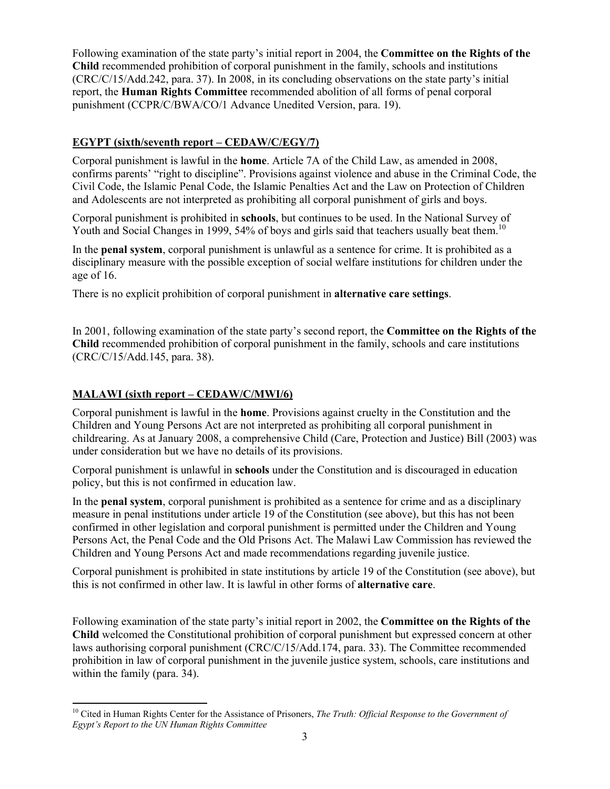Following examination of the state party's initial report in 2004, the **Committee on the Rights of the Child** recommended prohibition of corporal punishment in the family, schools and institutions (CRC/C/15/Add.242, para. 37). In 2008, in its concluding observations on the state party's initial report, the **Human Rights Committee** recommended abolition of all forms of penal corporal punishment (CCPR/C/BWA/CO/1 Advance Unedited Version, para. 19).

# **EGYPT (sixth/seventh report – CEDAW/C/EGY/7)**

Corporal punishment is lawful in the **home**. Article 7A of the Child Law, as amended in 2008, confirms parents' "right to discipline". Provisions against violence and abuse in the Criminal Code, the Civil Code, the Islamic Penal Code, the Islamic Penalties Act and the Law on Protection of Children and Adolescents are not interpreted as prohibiting all corporal punishment of girls and boys.

Corporal punishment is prohibited in **schools**, but continues to be used. In the National Survey of Youth and Social Changes in 1999, 54% of boys and girls said that teachers usually beat them.<sup>10</sup>

In the **penal system**, corporal punishment is unlawful as a sentence for crime. It is prohibited as a disciplinary measure with the possible exception of social welfare institutions for children under the age of 16.

There is no explicit prohibition of corporal punishment in **alternative care settings**.

In 2001, following examination of the state party's second report, the **Committee on the Rights of the Child** recommended prohibition of corporal punishment in the family, schools and care institutions (CRC/C/15/Add.145, para. 38).

# **MALAWI (sixth report – CEDAW/C/MWI/6)**

Corporal punishment is lawful in the **home**. Provisions against cruelty in the Constitution and the Children and Young Persons Act are not interpreted as prohibiting all corporal punishment in childrearing. As at January 2008, a comprehensive Child (Care, Protection and Justice) Bill (2003) was under consideration but we have no details of its provisions.

Corporal punishment is unlawful in **schools** under the Constitution and is discouraged in education policy, but this is not confirmed in education law.

In the **penal system**, corporal punishment is prohibited as a sentence for crime and as a disciplinary measure in penal institutions under article 19 of the Constitution (see above), but this has not been confirmed in other legislation and corporal punishment is permitted under the Children and Young Persons Act, the Penal Code and the Old Prisons Act. The Malawi Law Commission has reviewed the Children and Young Persons Act and made recommendations regarding juvenile justice.

Corporal punishment is prohibited in state institutions by article 19 of the Constitution (see above), but this is not confirmed in other law. It is lawful in other forms of **alternative care**.

Following examination of the state party's initial report in 2002, the **Committee on the Rights of the Child** welcomed the Constitutional prohibition of corporal punishment but expressed concern at other laws authorising corporal punishment (CRC/C/15/Add.174, para. 33). The Committee recommended prohibition in law of corporal punishment in the juvenile justice system, schools, care institutions and within the family (para. 34).

 $\overline{a}$ <sup>10</sup> Cited in Human Rights Center for the Assistance of Prisoners, *The Truth: Official Response to the Government of Egypt's Report to the UN Human Rights Committee*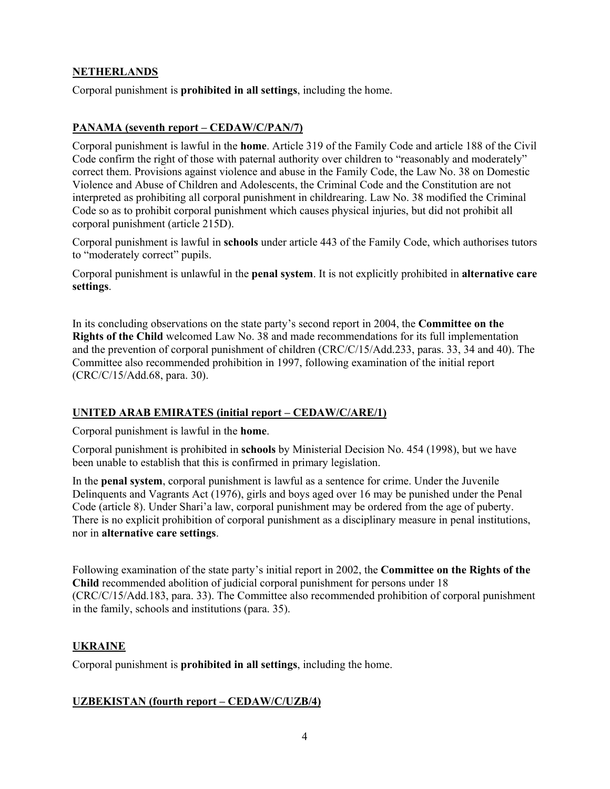## **NETHERLANDS**

Corporal punishment is **prohibited in all settings**, including the home.

## **PANAMA (seventh report – CEDAW/C/PAN/7)**

Corporal punishment is lawful in the **home**. Article 319 of the Family Code and article 188 of the Civil Code confirm the right of those with paternal authority over children to "reasonably and moderately" correct them. Provisions against violence and abuse in the Family Code, the Law No. 38 on Domestic Violence and Abuse of Children and Adolescents, the Criminal Code and the Constitution are not interpreted as prohibiting all corporal punishment in childrearing. Law No. 38 modified the Criminal Code so as to prohibit corporal punishment which causes physical injuries, but did not prohibit all corporal punishment (article 215D).

Corporal punishment is lawful in **schools** under article 443 of the Family Code, which authorises tutors to "moderately correct" pupils.

Corporal punishment is unlawful in the **penal system**. It is not explicitly prohibited in **alternative care settings**.

In its concluding observations on the state party's second report in 2004, the **Committee on the Rights of the Child** welcomed Law No. 38 and made recommendations for its full implementation and the prevention of corporal punishment of children (CRC/C/15/Add.233, paras. 33, 34 and 40). The Committee also recommended prohibition in 1997, following examination of the initial report (CRC/C/15/Add.68, para. 30).

## **UNITED ARAB EMIRATES (initial report – CEDAW/C/ARE/1)**

Corporal punishment is lawful in the **home**.

Corporal punishment is prohibited in **schools** by Ministerial Decision No. 454 (1998), but we have been unable to establish that this is confirmed in primary legislation.

In the **penal system**, corporal punishment is lawful as a sentence for crime. Under the Juvenile Delinquents and Vagrants Act (1976), girls and boys aged over 16 may be punished under the Penal Code (article 8). Under Shari'a law, corporal punishment may be ordered from the age of puberty. There is no explicit prohibition of corporal punishment as a disciplinary measure in penal institutions, nor in **alternative care settings**.

Following examination of the state party's initial report in 2002, the **Committee on the Rights of the Child** recommended abolition of judicial corporal punishment for persons under 18 (CRC/C/15/Add.183, para. 33). The Committee also recommended prohibition of corporal punishment in the family, schools and institutions (para. 35).

## **UKRAINE**

Corporal punishment is **prohibited in all settings**, including the home.

## **UZBEKISTAN (fourth report – CEDAW/C/UZB/4)**